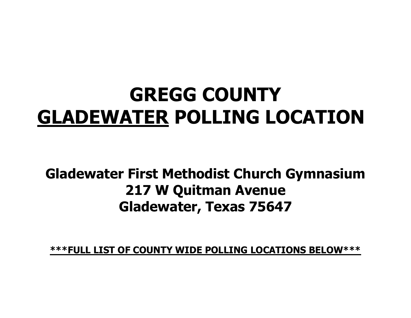## **GREGG COUNTY GLADEWATER POLLING LOCATION**

## **Gladewater First Methodist Church Gymnasium 217 W Quitman Avenue Gladewater, Texas 75647**

**\*\*\*FULL LIST OF COUNTY WIDE POLLING LOCATIONS BELOW\*\*\***